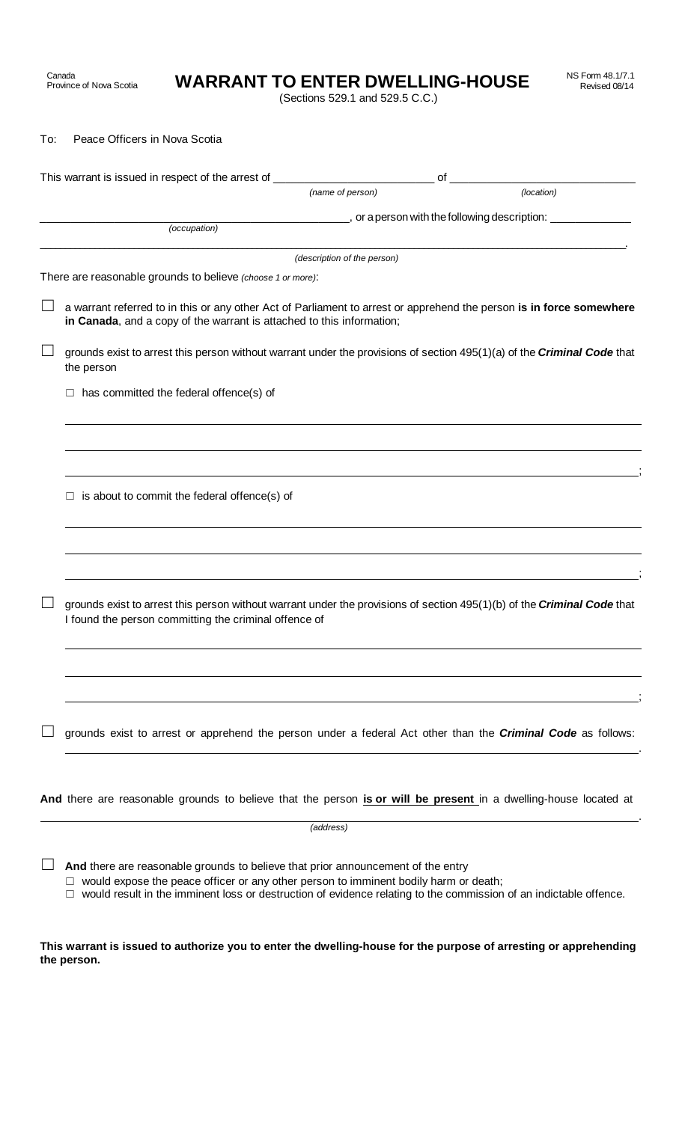**WARRANT TO ENTER DWELLING-HOUSE** 

(Sections 529.1 and 529.5 C.C.)

To: Peace Officers in Nova Scotia

Canada<br>Province of Nova Scotia

| This warrant is issued in respect of the arrest of _____________________________<br>of |                                                                                                                                                                                                                                                                                                         |                             |  |                                                                        |
|----------------------------------------------------------------------------------------|---------------------------------------------------------------------------------------------------------------------------------------------------------------------------------------------------------------------------------------------------------------------------------------------------------|-----------------------------|--|------------------------------------------------------------------------|
|                                                                                        |                                                                                                                                                                                                                                                                                                         | (name of person)            |  | (location)                                                             |
|                                                                                        | (occupation)                                                                                                                                                                                                                                                                                            |                             |  | __________, or a person with the following description: ______________ |
|                                                                                        |                                                                                                                                                                                                                                                                                                         |                             |  |                                                                        |
|                                                                                        |                                                                                                                                                                                                                                                                                                         | (description of the person) |  |                                                                        |
|                                                                                        | There are reasonable grounds to believe (choose 1 or more):                                                                                                                                                                                                                                             |                             |  |                                                                        |
|                                                                                        | a warrant referred to in this or any other Act of Parliament to arrest or apprehend the person is in force somewhere<br>in Canada, and a copy of the warrant is attached to this information;                                                                                                           |                             |  |                                                                        |
|                                                                                        | grounds exist to arrest this person without warrant under the provisions of section 495(1)(a) of the Criminal Code that<br>the person                                                                                                                                                                   |                             |  |                                                                        |
|                                                                                        | $\Box$ has committed the federal offence(s) of                                                                                                                                                                                                                                                          |                             |  |                                                                        |
|                                                                                        |                                                                                                                                                                                                                                                                                                         |                             |  |                                                                        |
|                                                                                        |                                                                                                                                                                                                                                                                                                         |                             |  |                                                                        |
|                                                                                        | is about to commit the federal offence(s) of<br>□                                                                                                                                                                                                                                                       |                             |  |                                                                        |
|                                                                                        |                                                                                                                                                                                                                                                                                                         |                             |  |                                                                        |
|                                                                                        |                                                                                                                                                                                                                                                                                                         |                             |  |                                                                        |
|                                                                                        | grounds exist to arrest this person without warrant under the provisions of section 495(1)(b) of the Criminal Code that<br>I found the person committing the criminal offence of                                                                                                                        |                             |  |                                                                        |
|                                                                                        |                                                                                                                                                                                                                                                                                                         |                             |  |                                                                        |
|                                                                                        |                                                                                                                                                                                                                                                                                                         |                             |  |                                                                        |
|                                                                                        | grounds exist to arrest or apprehend the person under a federal Act other than the <i>Criminal Code</i> as follows:                                                                                                                                                                                     |                             |  |                                                                        |
|                                                                                        |                                                                                                                                                                                                                                                                                                         |                             |  |                                                                        |
|                                                                                        | And there are reasonable grounds to believe that the person is or will be present in a dwelling-house located at                                                                                                                                                                                        |                             |  |                                                                        |
|                                                                                        |                                                                                                                                                                                                                                                                                                         | (address)                   |  |                                                                        |
|                                                                                        | And there are reasonable grounds to believe that prior announcement of the entry<br>would expose the peace officer or any other person to imminent bodily harm or death;<br>$\Box$<br>would result in the imminent loss or destruction of evidence relating to the commission of an indictable offence. |                             |  |                                                                        |

**This warrant is issued to authorize you to enter the dwelling-house for the purpose of arresting or apprehending the person.**